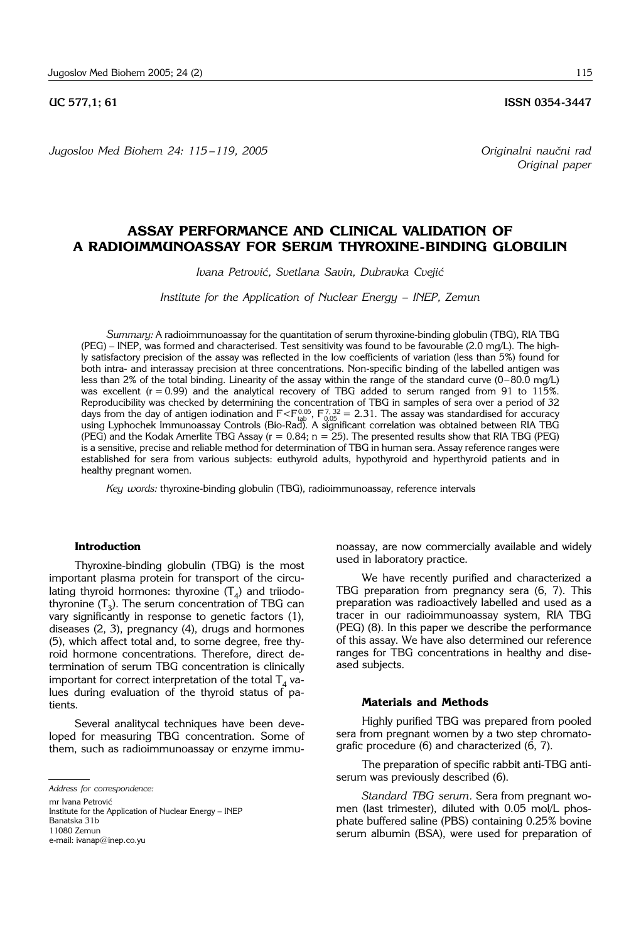# **UC 577.1: 61 ISSN 0354-3447**

*Jugoslov Med Biohem 24: 115 –119, 2005 Originalni nau~ni rad*

# **ASSAY PERFORMANCE AND CLINICAL VALIDATION OF A RADIOIMMUNOASSAY FOR SERUM THYROXINE-BINDING GLOBULIN**

*Ivana Petrovi}, Svetlana Savin, Dubravka Cveji}*

*Institute for the Application of Nuclear Energy – INEP, Zemun*

*Summary:* A radioimmunoassay for the quantitation of serum thyroxine-binding globulin (TBG), RIA TBG (PEG) – INEP, was formed and characterised. Test sensitivity was found to be favourable (2.0 mg/L). The highly satisfactory precision of the assay was reflected in the low coefficients of variation (less than 5%) found for both intra- and interassay precision at three concentrations. Non-specific binding of the labelled antigen was less than 2% of the total binding. Linearity of the assay within the range of the standard curve (0–80.0 mg/L) was excellent  $(r = 0.99)$  and the analytical recovery of TBG added to serum ranged from 91 to 115%. Reproducibility was checked by determining the concentration of TBG in samples of sera over a period of 32 days from the day of antigen iodination and  $F < F_{\text{tab}}^{0.05}$ ,  $F_{0.05}^{7,32} = 2.31$ . The assay was standardised for accuracy using Lyphochek Immunoassay Controls (Bio-Rad). A significant correlation was obtained between RIA TBG (PEG) and the Kodak Amerlite TBG Assay ( $r = 0.84$ ;  $n = 25$ ). The presented results show that RIA TBG (PEG) is a sensitive, precise and reliable method for determination of TBG in human sera. Assay reference ranges were established for sera from various subjects: euthyroid adults, hypothyroid and hyperthyroid patients and in healthy pregnant women.

*Key words:* thyroxine-binding globulin (TBG), radioimmunoassay, reference intervals

#### **Introduction**

Thyroxine-binding globulin (TBG) is the most important plasma protein for transport of the circulating thyroid hormones: thyroxine  $(T_A)$  and triiodothyronine  $(T_3)$ . The serum concentration of TBG can vary significantly in response to genetic factors (1), diseases (2, 3), pregnancy (4), drugs and hormones (5), which affect total and, to some degree, free thyroid hormone concentrations. Therefore, direct determination of serum TBG concentration is clinically important for correct interpretation of the total  $T<sub>4</sub>$  values during evaluation of the thyroid status of patients.

Several analitycal techniques have been developed for measuring TBG concentration. Some of them, such as radioimmunoassay or enzyme immu-

mr Ivana Petrović

Institute for the Application of Nuclear Energy - INEP Banatska 31b 11080 Zemun e-mail: ivanap@inep.co.yu

noassay, are now commercially available and widely used in laboratory practice.

We have recently purified and characterized a TBG preparation from pregnancy sera (6, 7). This preparation was radioactively labelled and used as a tracer in our radioimmunoassay system, RIA TBG (PEG) (8). In this paper we describe the performance of this assay. We have also determined our reference ranges for TBG concentrations in healthy and diseased subjects.

# **Materials and Methods**

Highly purified TBG was prepared from pooled sera from pregnant women by a two step chromatografic procedure (6) and characterized (6, 7).

The preparation of specific rabbit anti-TBG antiserum was previously described (6).

*Standard TBG serum.* Sera from pregnant women (last trimester), diluted with 0.05 mol/L phosphate buffered saline (PBS) containing 0.25% bovine serum albumin (BSA), were used for preparation of

*Original paper*

*Address for correspondence:*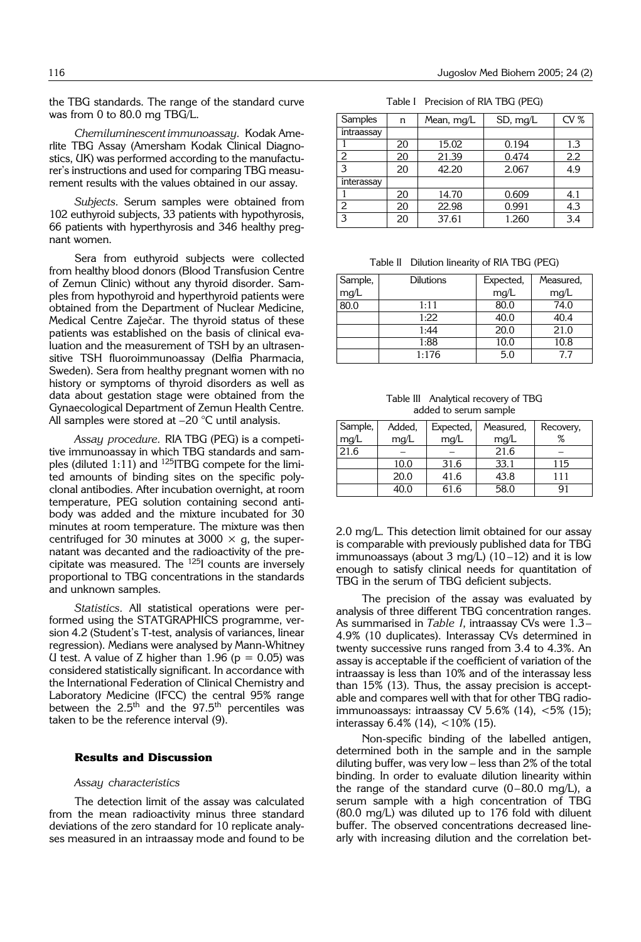the TBG standards. The range of the standard curve was from 0 to 80.0 mg TBG/L.

*Chemiluminescent immunoassay.* Kodak Amerlite TBG Assay (Amersham Kodak Clinical Diagnostics, UK) was performed according to the manufacturer's instructions and used for comparing TBG measurement results with the values obtained in our assay.

*Subjects.* Serum samples were obtained from 102 euthyroid subjects, 33 patients with hypothyrosis, 66 patients with hyperthyrosis and 346 healthy pregnant women.

Sera from euthyroid subjects were collected from healthy blood donors (Blood Transfusion Centre of Zemun Clinic) without any thyroid disorder. Samples from hypothyroid and hyperthyroid patients were obtained from the Department of Nuclear Medicine, Medical Centre Zaječar. The thyroid status of these patients was established on the basis of clinical evaluation and the measurement of TSH by an ultrasensitive TSH fluoroimmunoassay (Delfia Pharmacia, Sweden). Sera from healthy pregnant women with no history or symptoms of thyroid disorders as well as data about gestation stage were obtained from the Gynaecological Department of Zemun Health Centre. All samples were stored at  $-20$  °C until analysis.

*Assay procedure.* RIA TBG (PEG) is a competitive immunoassay in which TBG standards and samples (diluted 1:11) and <sup>125</sup>ITBG compete for the limited amounts of binding sites on the specific polyclonal antibodies. After incubation overnight, at room temperature, PEG solution containing second antibody was added and the mixture incubated for 30 minutes at room temperature. The mixture was then centrifuged for 30 minutes at 3000  $\times$  g, the supernatant was decanted and the radioactivity of the precipitate was measured. The 125I counts are inversely proportional to TBG concentrations in the standards and unknown samples.

*Statistics.* All statistical operations were performed using the STATGRAPHICS programme, version 4.2 (Student's T-test, analysis of variances, linear regression). Medians were analysed by Mann-Whitney U test. A value of Z higher than  $1.96$  ( $p = 0.05$ ) was considered statistically significant. In accordance with the International Federation of Clinical Chemistry and Laboratory Medicine (IFCC) the central 95% range between the 2.5<sup>th</sup> and the 97.5<sup>th</sup> percentiles was taken to be the reference interval (9).

### **Results and Discussion**

# *Assay characteristics*

The detection limit of the assay was calculated from the mean radioactivity minus three standard deviations of the zero standard for 10 replicate analyses measured in an intraassay mode and found to be

Table I Precision of RIA TBG (PEG)

| Samples    | n  | Mean, mg/L | SD, mq/L | CV% |
|------------|----|------------|----------|-----|
| intraassay |    |            |          |     |
|            | 20 | 15.02      | 0.194    | 1.3 |
| 2          | 20 | 21.39      | 0.474    | 2.2 |
| 3          | 20 | 42.20      | 2.067    | 4.9 |
| interassay |    |            |          |     |
|            | 20 | 14.70      | 0.609    | 4.1 |
| 2          | 20 | 22.98      | 0.991    | 4.3 |
| 3          | 20 | 37.61      | 1.260    | 3.4 |

Table II Dilution linearity of RIA TBG (PEG)

| Sample, | Dilutions | Expected, | Measured, |
|---------|-----------|-----------|-----------|
| mg/L    |           | mg/L      | mg/L      |
| 80.0    | 1:11      | 80.0      | 74.0      |
|         | 1:22      | 40.0      | 40.4      |
|         | 1:44      | 20.0      | 21.0      |
|         | 1:88      | 10.0      | 10.8      |
|         | 1:176     | 5.0       | 77        |

Table III Analytical recovery of TBG added to serum sample

| Sample, | Added, | Expected, | Measured, | Recovery, |
|---------|--------|-----------|-----------|-----------|
| mg/L    | mg/L   | mg/L      | mg/L      | ℅         |
| 21.6    |        |           | 21.6      |           |
|         | 10.0   | 31.6      | 33.1      | 115       |
|         | 20.0   | 41.6      | 43.8      | 111       |
|         | 40.0   | 61.6      | 58.0      | 91        |

2.0 mg/L. This detection limit obtained for our assay is comparable with previously published data for TBG immunoassays (about 3 mg/L)  $(10-12)$  and it is low enough to satisfy clinical needs for quantitation of TBG in the serum of TBG deficient subjects.

The precision of the assay was evaluated by analysis of three different TBG concentration ranges. As summarised in *Table I*, intraassay CVs were 1.3-4.9% (10 duplicates). Interassay CVs determined in twenty successive runs ranged from 3.4 to 4.3%. An assay is acceptable if the coefficient of variation of the intraassay is less than 10% and of the interassay less than 15% (13). Thus, the assay precision is acceptable and compares well with that for other TBG radioimmunoassays: intraassay CV 5.6% (14), <5% (15); interassay  $6.4\%$  (14),  $<10\%$  (15).

Non-specific binding of the labelled antigen, determined both in the sample and in the sample diluting buffer, was very low - less than 2% of the total binding. In order to evaluate dilution linearity within the range of the standard curve  $(0-80.0 \text{ mg/L})$ , a serum sample with a high concentration of TBG (80.0 mg/L) was diluted up to 176 fold with diluent buffer. The observed concentrations decreased linearly with increasing dilution and the correlation bet-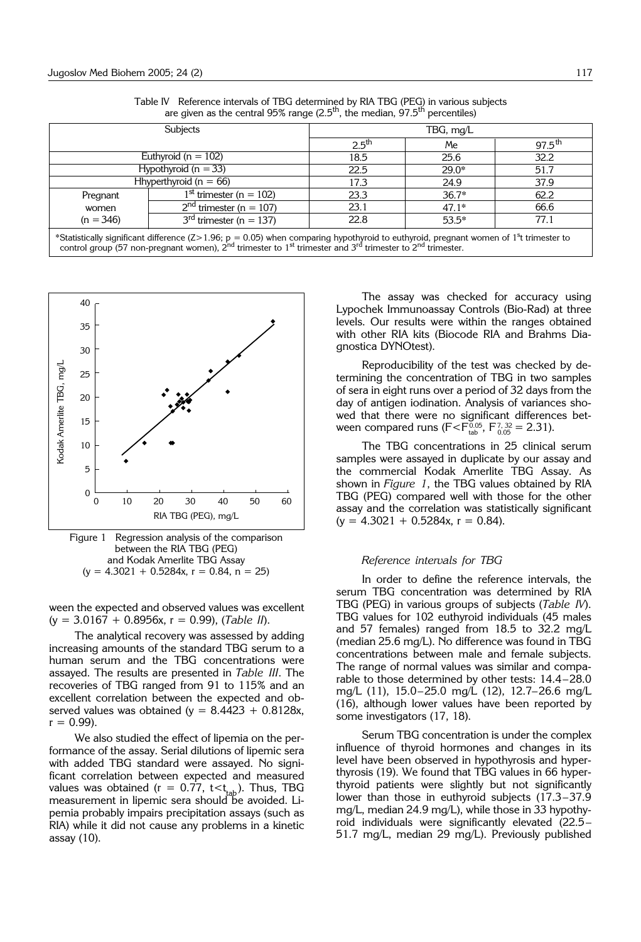| Subjects                                                                                                                                                                                                                                                                                    |                           | TBG, mg/L         |         |                    |  |
|---------------------------------------------------------------------------------------------------------------------------------------------------------------------------------------------------------------------------------------------------------------------------------------------|---------------------------|-------------------|---------|--------------------|--|
|                                                                                                                                                                                                                                                                                             |                           | 2.5 <sup>th</sup> | Me      | $97.5^{\text{th}}$ |  |
| Euthyroid ( $n = 102$ )                                                                                                                                                                                                                                                                     |                           | 18.5              | 25.6    | 32.2               |  |
| Hypothyroid ( $n = 33$ )                                                                                                                                                                                                                                                                    |                           | 22.5              | $29.0*$ | 51.7               |  |
| Hhyperthyroid ( $n = 66$ )                                                                                                                                                                                                                                                                  |                           | 17.3              | 24.9    | 37.9               |  |
| Pregnant                                                                                                                                                                                                                                                                                    | $1st$ trimester (n = 102) | 23.3              | $36.7*$ | 62.2               |  |
| women                                                                                                                                                                                                                                                                                       | $2nd$ trimester (n = 107) | 23.1              | $47.1*$ | 66.6               |  |
| $(n = 346)$                                                                                                                                                                                                                                                                                 | $3rd$ trimester (n = 137) | 22.8              | $53.5*$ | 77.1               |  |
| *Statistically significant difference ( $Z > 1.96$ ; $p = 0.05$ ) when comparing hypothyroid to euthyroid, pregnant women of 1 <sup>s</sup> t trimester to<br>control group (57 non-pregnant women), $2^{nd}$ trimester to $1^{st}$ trimester and $3^{rd}$ trimester to $2^{nd}$ trimester. |                           |                   |         |                    |  |

Table IV Reference intervals of TBG determined by RIA TBG (PEG) in various subjects are given as the central  $95\%$  range ( $2.5<sup>th</sup>$ , the median,  $97.5<sup>th</sup>$  percentiles)



Figure 1 Regression analysis of the comparison between the RIA TBG (PEG) and Kodak Amerlite TBG Assay  $(y = 4.3021 + 0.5284x, r = 0.84, n = 25)$ 

ween the expected and observed values was excellent (y = 3.0167 + 0.8956x, r = 0.99), (*Table II*).

The analytical recovery was assessed by adding increasing amounts of the standard TBG serum to a human serum and the TBG concentrations were assayed. The results are presented in *Table III*. The recoveries of TBG ranged from 91 to 115% and an excellent correlation between the expected and observed values was obtained ( $y = 8.4423 + 0.8128x$ ,  $r = 0.99$ ).

We also studied the effect of lipemia on the performance of the assay. Serial dilutions of lipemic sera with added TBG standard were assayed. No significant correlation between expected and measured values was obtained ( $r = 0.77$ ,  $t < t_{tab}$ ). Thus, TBG measurement in lipemic sera should be avoided. Lipemia probably impairs precipitation assays (such as RIA) while it did not cause any problems in a kinetic assay (10).

The assay was checked for accuracy using Lypochek Immunoassay Controls (Bio-Rad) at three levels. Our results were within the ranges obtained with other RIA kits (Biocode RIA and Brahms Diagnostica DYNOtest).

Reproducibility of the test was checked by determining the concentration of TBG in two samples of sera in eight runs over a period of 32 days from the day of antigen iodination. Analysis of variances showed that there were no significant differences between compared runs ( $F < F_{\text{tab}}^{0.05}$ ,  $F_{0.05}^{7,32} = 2.31$ ).

The TBG concentrations in 25 clinical serum samples were assayed in duplicate by our assay and the commercial Kodak Amerlite TBG Assay. As shown in *Figure 1*, the TBG values obtained by RIA TBG (PEG) compared well with those for the other assay and the correlation was statistically significant  $(y = 4.3021 + 0.5284x, r = 0.84)$ .

#### *Reference intervals for TBG*

In order to define the reference intervals, the serum TBG concentration was determined by RIA TBG (PEG) in various groups of subjects (*Table IV*). TBG values for 102 euthyroid individuals (45 males and 57 females) ranged from 18.5 to 32.2 mg/L (median 25.6 mg/L). No difference was found in TBG concentrations between male and female subjects. The range of normal values was similar and comparable to those determined by other tests:  $14.4-28.0$ mg/L (11), 15.0-25.0 mg/L (12), 12.7-26.6 mg/L (16), although lower values have been reported by some investigators (17, 18).

Serum TBG concentration is under the complex influence of thyroid hormones and changes in its level have been observed in hypothyrosis and hyperthyrosis (19). We found that TBG values in 66 hyperthyroid patients were slightly but not significantly lower than those in euthyroid subjects  $(17.3-37.9$ mg/L, median 24.9 mg/L), while those in 33 hypothyroid individuals were significantly elevated (22.5-51.7 mg/L, median 29 mg/L). Previously published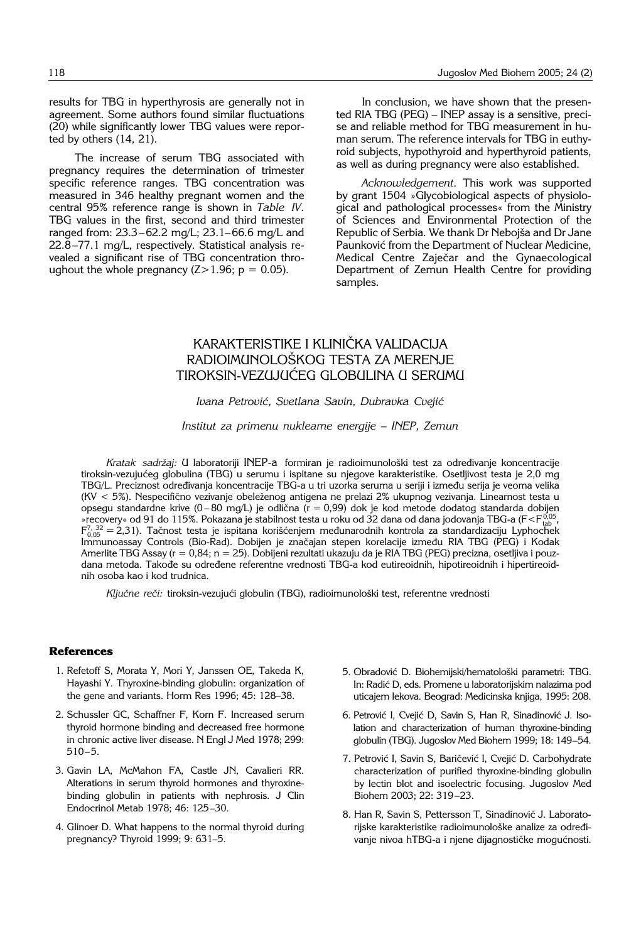results for TBG in hyperthyrosis are generally not in agreement. Some authors found similar fluctuations (20) while significantly lower TBG values were reported by others (14, 21).

The increase of serum TBG associated with pregnancy requires the determination of trimester specific reference ranges. TBG concentration was measured in 346 healthy pregnant women and the central 95% reference range is shown in *Table IV*. TBG values in the first, second and third trimester ranged from: 23.3-62.2 mg/L; 23.1-66.6 mg/L and 22.8-77.1 mg/L, respectively. Statistical analysis revealed a significant rise of TBG concentration throughout the whole pregnancy  $(Z>1.96; p = 0.05)$ .

In conclusion, we have shown that the presented RIA TBG (PEG)  $-$  INEP assay is a sensitive, precise and reliable method for TBG measurement in human serum. The reference intervals for TBG in euthyroid subjects, hypothyroid and hyperthyroid patients, as well as during pregnancy were also established.

*Acknowledgement.* This work was supported by grant 1504 »Glycobiological aspects of physiological and pathological processes« from the Ministry of Sciences and Environmental Protection of the Republic of Serbia. We thank Dr Nebojša and Dr Jane Paunković from the Department of Nuclear Medicine, Medical Centre Zaječar and the Gynaecological Department of Zemun Health Centre for providing samples.

# KARAKTERISTIKE I KLINIČKA VALIDACIJA RADIOIMUNOLOŠKOG TESTA ZA MERENJE TIROKSIN-VEZUJUĆEG GLOBULINA U SERUMU

# *Ivana Petrovi}, Svetlana Savin, Dubravka Cveji}*

## *Institut za primenu nuklearne energije – INEP, Zemun*

Kratak sadržaj: U laboratoriji INEP-a formiran je radioimunološki test za određivanje koncentracije tiroksin-vezujućeg globulina (TBG) u serumu i ispitane su njegove karakteristike. Osetljivost testa je 2,0 mg TBG/L. Preciznost određivanja koncentracije TBG-a u tri uzorka seruma u seriji i između serija je veoma velika (KV < 5%). Nespecifično vezivanje obeleženog antigena ne prelazi 2% ukupnog vezivanja. Linearnost testa u opsegu standardne krive (0-80 mg/L) je odlična (r = 0,99) dok je kod metode dodatog standarda dobijen »recovery« od 91 do 115%. Pokazana je stabilnost testa u roku od 32 dana od dana jodovanja TBG-a (F $\leq$ F $_{\rm tab}^{0.05}$ ,  $F_{0.05}^{7,32} = 2,31$ ). Tačnost testa je ispitana korišćenjem međunarodnih kontrola za standardizaciju Lyphochek Immunoassay Controls (Bio-Rad). Dobijen je značajan stepen korelacije između RIA TBG (PEG) i Kodak Amerlite TBG Assay (r = 0,84; n = 25). Dobijeni rezultati ukazuju da je RIA TBG (PEG) precizna, osetljiva i pouzdana metoda. Takođe su određene referentne vrednosti TBG-a kod eutireoidnih, hipotireoidnih i hipertireoidnih osoba kao i kod trudnica.

Ključne reči: tiroksin-vezujući globulin (TBG), radioimunološki test, referentne vrednosti

# **References**

- 1. Refetoff S, Morata Y, Mori Y, Janssen OE, Takeda K, Hayashi Y. Thyroxine-binding globulin: organization of the gene and variants. Horm Res 1996; 45: 128-38.
- 2. Schussler GC, Schaffner F, Korn F. Increased serum thyroid hormone binding and decreased free hormone in chronic active liver disease. N Engl J Med 1978; 299:  $510 - 5.$
- 3. Gavin LA, McMahon FA, Castle JN, Cavalieri RR. Alterations in serum thyroid hormones and thyroxinebinding globulin in patients with nephrosis. J Clin Endocrinol Metab 1978; 46: 125-30.
- 4. Glinoer D. What happens to the normal thyroid during pregnancy? Thyroid 1999; 9: 631-5.
- 5. Obradović D. Biohemijski/hematološki parametri: TBG. In: Radić D, eds. Promene u laboratorijskim nalazima pod uticajem lekova. Beograd: Medicinska knjiga, 1995: 208.
- 6. Petrović I, Cvejić D, Savin S, Han R, Sinadinović J. Isolation and characterization of human thyroxine-binding globulin (TBG). Jugoslov Med Biohem 1999; 18: 149-54.
- 7. Petrović I, Savin S, Baričević I, Cvejić D. Carbohydrate characterization of purified thyroxine-binding globulin by lectin blot and isoelectric focusing. Jugoslov Med Biohem 2003; 22: 319-23.
- 8. Han R, Savin S, Pettersson T, Sinadinović J. Laboratorijske karakteristike radioimunološke analize za određivanje nivoa hTBG-a i njene dijagnostičke mogućnosti.